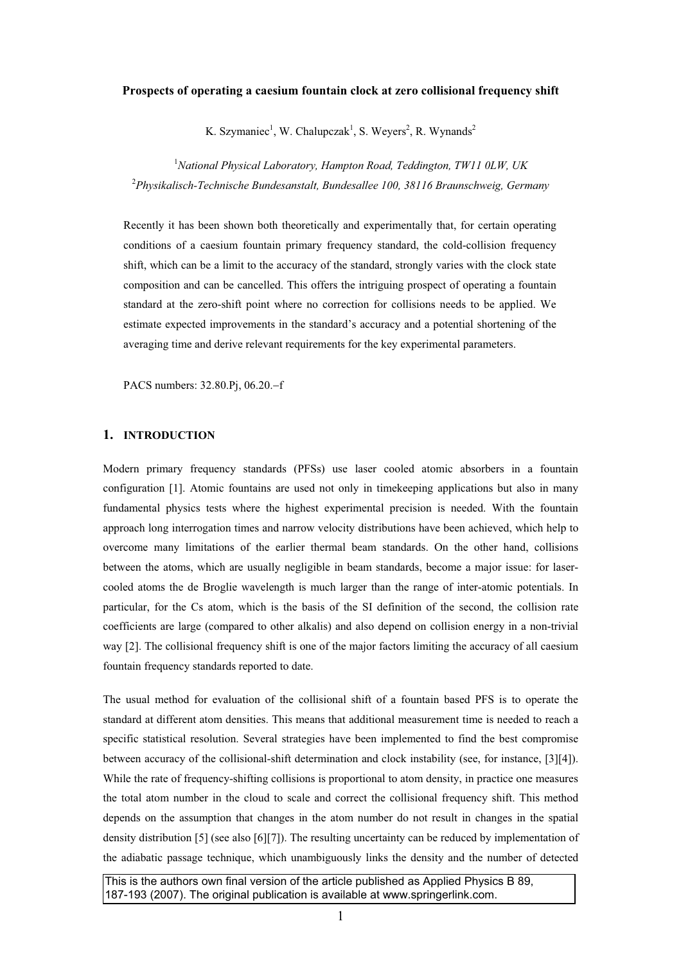# **Prospects of operating a caesium fountain clock at zero collisional frequency shift**

K. Szymaniec<sup>1</sup>, W. Chalupczak<sup>1</sup>, S. Weyers<sup>2</sup>, R. Wynands<sup>2</sup>

1 *National Physical Laboratory, Hampton Road, Teddington, TW11 0LW, UK* 2 *Physikalisch-Technische Bundesanstalt, Bundesallee 100, 38116 Braunschweig, Germany*

Recently it has been shown both theoretically and experimentally that, for certain operating conditions of a caesium fountain primary frequency standard, the cold-collision frequency shift, which can be a limit to the accuracy of the standard, strongly varies with the clock state composition and can be cancelled. This offers the intriguing prospect of operating a fountain standard at the zero-shift point where no correction for collisions needs to be applied. We estimate expected improvements in the standard's accuracy and a potential shortening of the averaging time and derive relevant requirements for the key experimental parameters.

PACS numbers: 32.80.Pi, 06.20.–f

# **1. INTRODUCTION**

Modern primary frequency standards (PFSs) use laser cooled atomic absorbers in a fountain configuration [1]. Atomic fountains are used not only in timekeeping applications but also in many fundamental physics tests where the highest experimental precision is needed. With the fountain approach long interrogation times and narrow velocity distributions have been achieved, which help to overcome many limitations of the earlier thermal beam standards. On the other hand, collisions between the atoms, which are usually negligible in beam standards, become a major issue: for lasercooled atoms the de Broglie wavelength is much larger than the range of inter-atomic potentials. In particular, for the Cs atom, which is the basis of the SI definition of the second, the collision rate coefficients are large (compared to other alkalis) and also depend on collision energy in a non-trivial way [2]. The collisional frequency shift is one of the major factors limiting the accuracy of all caesium fountain frequency standards reported to date.

The usual method for evaluation of the collisional shift of a fountain based PFS is to operate the standard at different atom densities. This means that additional measurement time is needed to reach a specific statistical resolution. Several strategies have been implemented to find the best compromise between accuracy of the collisional-shift determination and clock instability (see, for instance, [3][4]). While the rate of frequency-shifting collisions is proportional to atom density, in practice one measures the total atom number in the cloud to scale and correct the collisional frequency shift. This method depends on the assumption that changes in the atom number do not result in changes in the spatial density distribution [5] (see also [6][7]). The resulting uncertainty can be reduced by implementation of the adiabatic passage technique, which unambiguously links the density and the number of detected

This is the authors own final version of the article published as Applied Physics B 89, 187-193 (2007). The original publication is available at www.springerlink.com.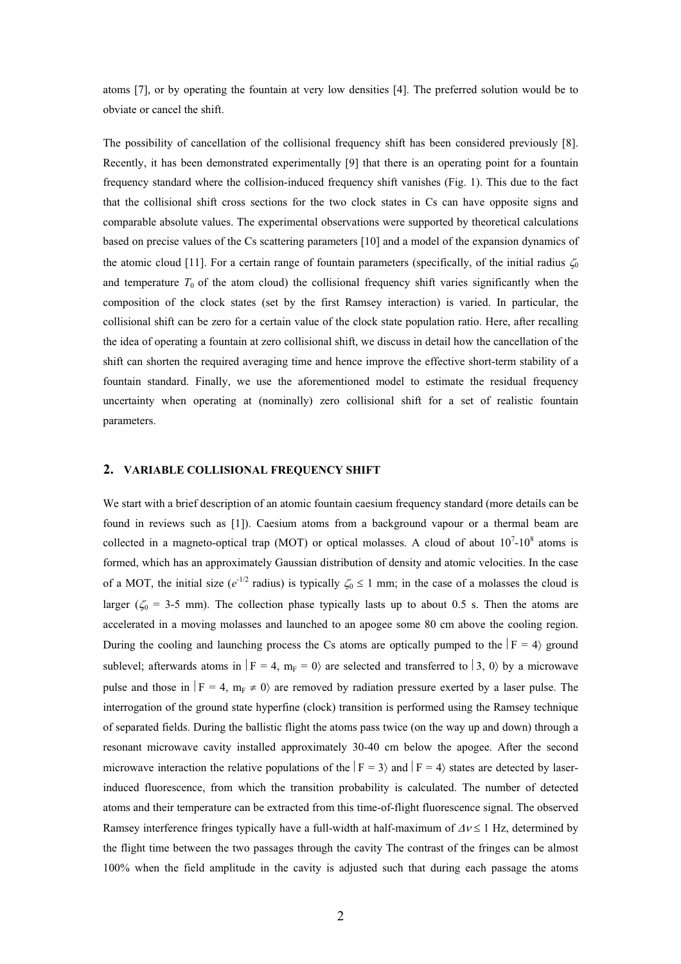atoms [7], or by operating the fountain at very low densities [4]. The preferred solution would be to obviate or cancel the shift.

The possibility of cancellation of the collisional frequency shift has been considered previously [8]. Recently, it has been demonstrated experimentally [9] that there is an operating point for a fountain frequency standard where the collision-induced frequency shift vanishes (Fig. 1). This due to the fact that the collisional shift cross sections for the two clock states in Cs can have opposite signs and comparable absolute values. The experimental observations were supported by theoretical calculations based on precise values of the Cs scattering parameters [10] and a model of the expansion dynamics of the atomic cloud [11]. For a certain range of fountain parameters (specifically, of the initial radius  $\zeta_0$ and temperature  $T_0$  of the atom cloud) the collisional frequency shift varies significantly when the composition of the clock states (set by the first Ramsey interaction) is varied. In particular, the collisional shift can be zero for a certain value of the clock state population ratio. Here, after recalling the idea of operating a fountain at zero collisional shift, we discuss in detail how the cancellation of the shift can shorten the required averaging time and hence improve the effective short-term stability of a fountain standard. Finally, we use the aforementioned model to estimate the residual frequency uncertainty when operating at (nominally) zero collisional shift for a set of realistic fountain parameters.

# **2. VARIABLE COLLISIONAL FREQUENCY SHIFT**

We start with a brief description of an atomic fountain caesium frequency standard (more details can be found in reviews such as [1]). Caesium atoms from a background vapour or a thermal beam are collected in a magneto-optical trap (MOT) or optical molasses. A cloud of about  $10<sup>7</sup>$ -10<sup>8</sup> atoms is formed, which has an approximately Gaussian distribution of density and atomic velocities. In the case of a MOT, the initial size ( $e^{-1/2}$  radius) is typically  $\zeta_0 \le 1$  mm; in the case of a molasses the cloud is larger ( $\zeta_0$  = 3-5 mm). The collection phase typically lasts up to about 0.5 s. Then the atoms are accelerated in a moving molasses and launched to an apogee some 80 cm above the cooling region. During the cooling and launching process the Cs atoms are optically pumped to the  $|F = 4\rangle$  ground sublevel; afterwards atoms in  $|F = 4$ ,  $m_F = 0$  are selected and transferred to  $|3, 0 \rangle$  by a microwave pulse and those in  $|F = 4$ ,  $m_F \neq 0$  are removed by radiation pressure exerted by a laser pulse. The interrogation of the ground state hyperfine (clock) transition is performed using the Ramsey technique of separated fields. During the ballistic flight the atoms pass twice (on the way up and down) through a resonant microwave cavity installed approximately 30-40 cm below the apogee. After the second microwave interaction the relative populations of the  $\vert F = 3 \rangle$  and  $\vert F = 4 \rangle$  states are detected by laserinduced fluorescence, from which the transition probability is calculated. The number of detected atoms and their temperature can be extracted from this time-of-flight fluorescence signal. The observed Ramsey interference fringes typically have a full-width at half-maximum of  $\Delta v \le 1$  Hz, determined by the flight time between the two passages through the cavity The contrast of the fringes can be almost 100% when the field amplitude in the cavity is adjusted such that during each passage the atoms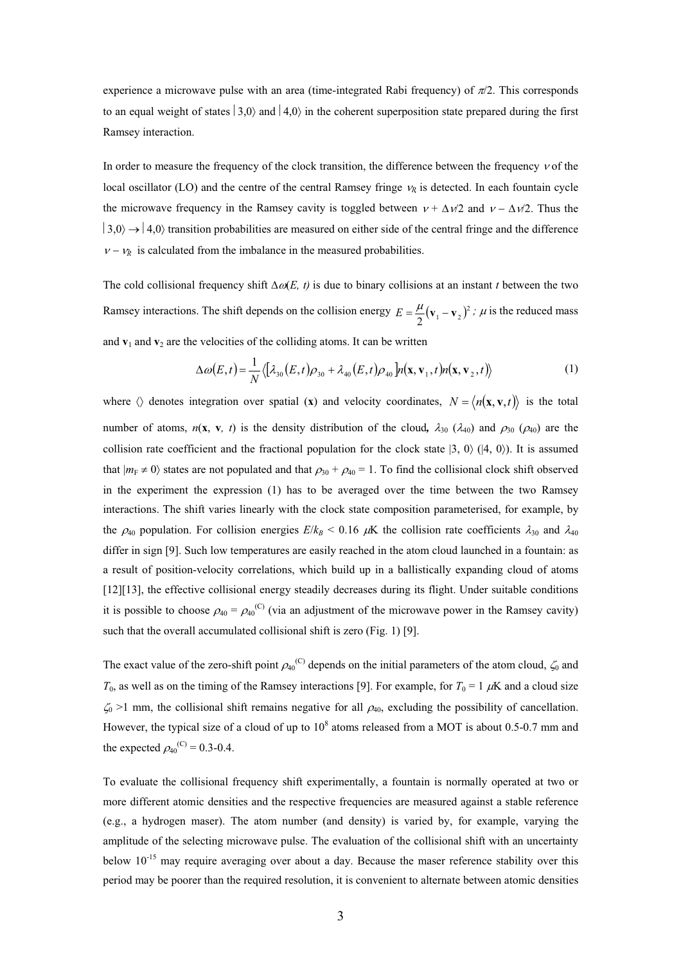experience a microwave pulse with an area (time-integrated Rabi frequency) of  $\pi/2$ . This corresponds to an equal weight of states  $|3,0\rangle$  and  $|4,0\rangle$  in the coherent superposition state prepared during the first Ramsey interaction.

In order to measure the frequency of the clock transition, the difference between the frequency  $\nu$  of the local oscillator (LO) and the centre of the central Ramsey fringe  $v_R$  is detected. In each fountain cycle the microwave frequency in the Ramsey cavity is toggled between  $v + \Delta v/2$  and  $v - \Delta v/2$ . Thus the  $|3,0\rangle \rightarrow |4,0\rangle$  transition probabilities are measured on either side of the central fringe and the difference  $V - V_R$  is calculated from the imbalance in the measured probabilities.

The cold collisional frequency shift  $\Delta \omega(E, t)$  is due to binary collisions at an instant *t* between the two Ramsey interactions. The shift depends on the collision energy  $E = \frac{\mu}{2} (\mathbf{v}_1 - \mathbf{v}_2)^2$ ;  $\mu$  is the reduced mass and  $\mathbf{v}_1$  and  $\mathbf{v}_2$  are the velocities of the colliding atoms. It can be written

$$
\Delta\omega(E,t) = \frac{1}{N} \langle \left[ \lambda_{30}(E,t) \rho_{30} + \lambda_{40}(E,t) \rho_{40} \right] n(\mathbf{x}, \mathbf{v}_1, t) n(\mathbf{x}, \mathbf{v}_2, t) \rangle \tag{1}
$$

where  $\langle \rangle$  denotes integration over spatial (**x**) and velocity coordinates,  $N = \langle n(\mathbf{x}, \mathbf{v}, t) \rangle$  is the total number of atoms,  $n(\mathbf{x}, \mathbf{v}, t)$  is the density distribution of the cloud,  $\lambda_{30}$  ( $\lambda_{40}$ ) and  $\rho_{30}$  ( $\rho_{40}$ ) are the collision rate coefficient and the fractional population for the clock state  $|3, 0\rangle$  ( $|4, 0\rangle$ ). It is assumed that  $|m_F \neq 0\rangle$  states are not populated and that  $\rho_{30} + \rho_{40} = 1$ . To find the collisional clock shift observed in the experiment the expression (1) has to be averaged over the time between the two Ramsey interactions. The shift varies linearly with the clock state composition parameterised, for example, by the  $\rho_{40}$  population. For collision energies  $E/k_B < 0.16$   $\mu$ K the collision rate coefficients  $\lambda_{30}$  and  $\lambda_{40}$ differ in sign [9]. Such low temperatures are easily reached in the atom cloud launched in a fountain: as a result of position-velocity correlations, which build up in a ballistically expanding cloud of atoms [12][13], the effective collisional energy steadily decreases during its flight. Under suitable conditions it is possible to choose  $\rho_{40} = \rho_{40}^{(C)}$  (via an adjustment of the microwave power in the Ramsey cavity) such that the overall accumulated collisional shift is zero (Fig. 1) [9].

The exact value of the zero-shift point  $\rho_{40}^{(C)}$  depends on the initial parameters of the atom cloud,  $\zeta_0$  and  $T_0$ , as well as on the timing of the Ramsey interactions [9]. For example, for  $T_0 = 1 \mu K$  and a cloud size  $\zeta_0$  >1 mm, the collisional shift remains negative for all  $\rho_{40}$ , excluding the possibility of cancellation. However, the typical size of a cloud of up to  $10^8$  atoms released from a MOT is about 0.5-0.7 mm and the expected  $\rho_{40}^{(C)} = 0.3 - 0.4$ .

To evaluate the collisional frequency shift experimentally, a fountain is normally operated at two or more different atomic densities and the respective frequencies are measured against a stable reference (e.g., a hydrogen maser). The atom number (and density) is varied by, for example, varying the amplitude of the selecting microwave pulse. The evaluation of the collisional shift with an uncertainty below  $10^{-15}$  may require averaging over about a day. Because the maser reference stability over this period may be poorer than the required resolution, it is convenient to alternate between atomic densities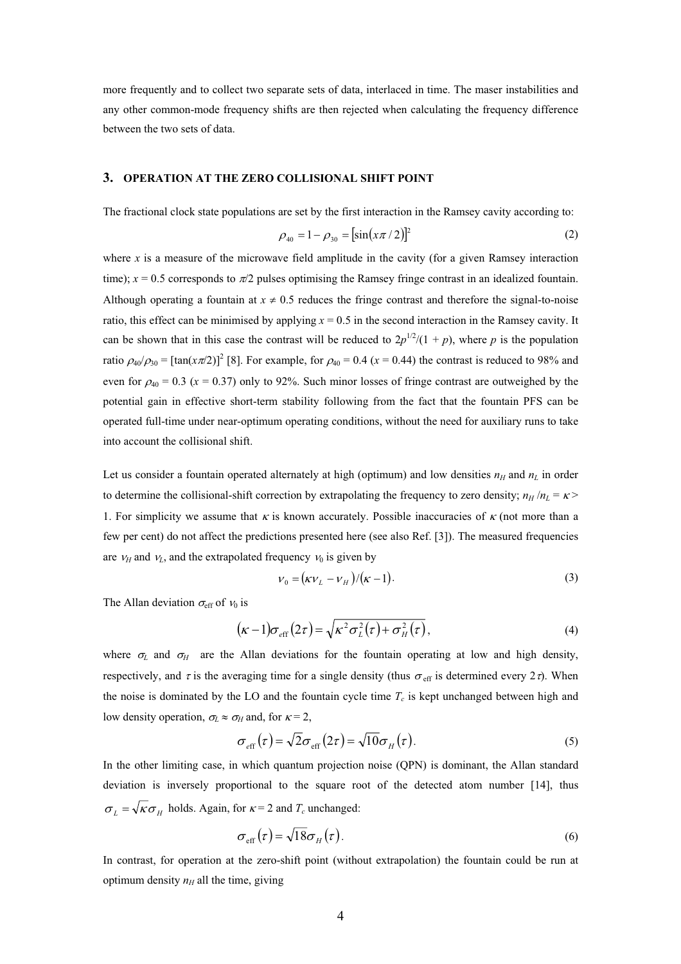more frequently and to collect two separate sets of data, interlaced in time. The maser instabilities and any other common-mode frequency shifts are then rejected when calculating the frequency difference between the two sets of data.

# **3. OPERATION AT THE ZERO COLLISIONAL SHIFT POINT**

The fractional clock state populations are set by the first interaction in the Ramsey cavity according to:

$$
\rho_{40} = 1 - \rho_{30} = [\sin(x\pi/2)]^2 \tag{2}
$$

where  $x$  is a measure of the microwave field amplitude in the cavity (for a given Ramsey interaction time);  $x = 0.5$  corresponds to  $\pi/2$  pulses optimising the Ramsey fringe contrast in an idealized fountain. Although operating a fountain at  $x \neq 0.5$  reduces the fringe contrast and therefore the signal-to-noise ratio, this effect can be minimised by applying *x* = 0.5 in the second interaction in the Ramsey cavity. It can be shown that in this case the contrast will be reduced to  $2p^{1/2}/(1 + p)$ , where *p* is the population ratio  $\rho_{40}/\rho_{30}$  = [tan( $x\pi/2$ )]<sup>2</sup> [8]. For example, for  $\rho_{40}$  = 0.4 ( $x$  = 0.44) the contrast is reduced to 98% and even for  $\rho_{40} = 0.3$  ( $x = 0.37$ ) only to 92%. Such minor losses of fringe contrast are outweighed by the potential gain in effective short-term stability following from the fact that the fountain PFS can be operated full-time under near-optimum operating conditions, without the need for auxiliary runs to take into account the collisional shift.

Let us consider a fountain operated alternately at high (optimum) and low densities  $n_H$  and  $n_L$  in order to determine the collisional-shift correction by extrapolating the frequency to zero density;  $n_H/n_L = \kappa$ 1. For simplicity we assume that  $\kappa$  is known accurately. Possible inaccuracies of  $\kappa$  (not more than a few per cent) do not affect the predictions presented here (see also Ref. [3]). The measured frequencies are  $V_H$  and  $V_L$ , and the extrapolated frequency  $V_0$  is given by

$$
v_0 = \left(\kappa v_L - v_H\right) / \left(\kappa - 1\right). \tag{3}
$$

The Allan deviation  $\sigma_{\text{eff}}$  of  $v_0$  is

$$
(\kappa - 1)\sigma_{\rm eff}(2\tau) = \sqrt{\kappa^2 \sigma_L^2(\tau) + \sigma_H^2(\tau)},
$$
\n(4)

where  $\sigma_L$  and  $\sigma_H$  are the Allan deviations for the fountain operating at low and high density, respectively, and  $\tau$  is the averaging time for a single density (thus  $\sigma_{\text{eff}}$  is determined every  $2\tau$ ). When the noise is dominated by the LO and the fountain cycle time  $T_c$  is kept unchanged between high and low density operation,  $\sigma_L \approx \sigma_H$  and, for  $\kappa = 2$ ,

$$
\sigma_{\rm eff}(\tau) = \sqrt{2}\sigma_{\rm eff}(2\tau) = \sqrt{10}\sigma_H(\tau). \tag{5}
$$

In the other limiting case, in which quantum projection noise (QPN) is dominant, the Allan standard deviation is inversely proportional to the square root of the detected atom number [14], thus  $\sigma_{\iota} = \sqrt{\kappa} \sigma_{\iota\iota}$  holds. Again, for  $\kappa = 2$  and  $T_c$  unchanged:

$$
\sigma_{\text{eff}}(\tau) = \sqrt{18}\sigma_H(\tau). \tag{6}
$$

In contrast, for operation at the zero-shift point (without extrapolation) the fountain could be run at optimum density  $n_H$  all the time, giving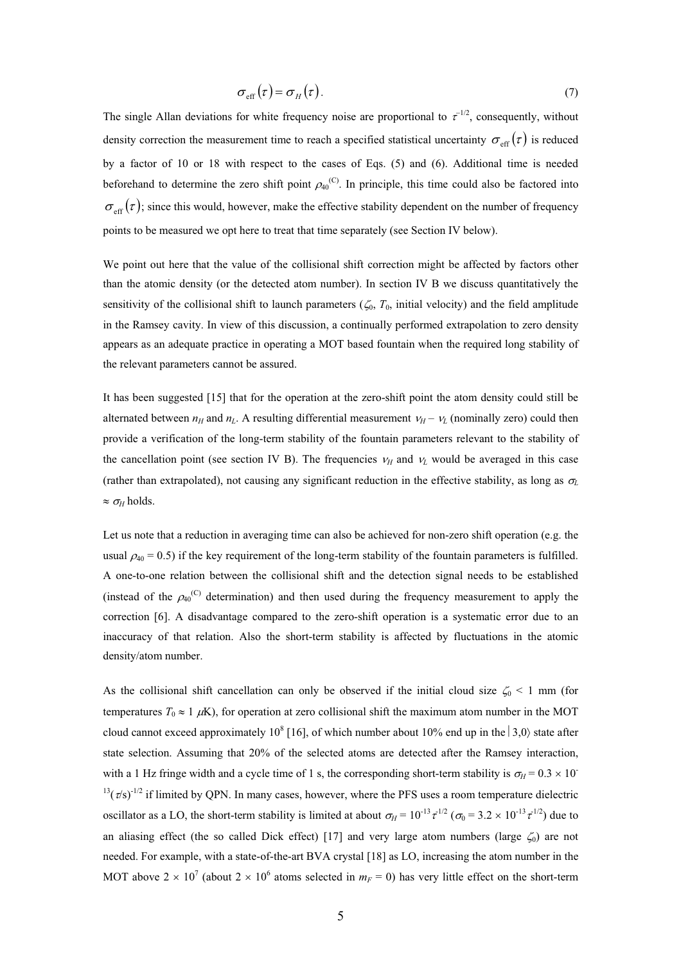$$
\sigma_{\rm eff}(\tau) = \sigma_H(\tau). \tag{7}
$$

The single Allan deviations for white frequency noise are proportional to  $\tau^{-1/2}$ , consequently, without density correction the measurement time to reach a specified statistical uncertainty  $\sigma_{\text{eff}}(\tau)$  is reduced by a factor of 10 or 18 with respect to the cases of Eqs. (5) and (6). Additional time is needed beforehand to determine the zero shift point  $\rho_{40}^{(C)}$ . In principle, this time could also be factored into  $\sigma_{\text{eff}}(\tau)$ ; since this would, however, make the effective stability dependent on the number of frequency points to be measured we opt here to treat that time separately (see Section IV below).

We point out here that the value of the collisional shift correction might be affected by factors other than the atomic density (or the detected atom number). In section IV B we discuss quantitatively the sensitivity of the collisional shift to launch parameters  $(\zeta_0, T_0)$ , initial velocity) and the field amplitude in the Ramsey cavity. In view of this discussion, a continually performed extrapolation to zero density appears as an adequate practice in operating a MOT based fountain when the required long stability of the relevant parameters cannot be assured.

It has been suggested [15] that for the operation at the zero-shift point the atom density could still be alternated between  $n_H$  and  $n_L$ . A resulting differential measurement  $v_H - v_L$  (nominally zero) could then provide a verification of the long-term stability of the fountain parameters relevant to the stability of the cancellation point (see section IV B). The frequencies  $v_H$  and  $v_L$  would be averaged in this case (rather than extrapolated), not causing any significant reduction in the effective stability, as long as  $\sigma_l$  $\approx \sigma_{\rm H}$  holds.

Let us note that a reduction in averaging time can also be achieved for non-zero shift operation (e.g. the usual  $\rho_{40} = 0.5$ ) if the key requirement of the long-term stability of the fountain parameters is fulfilled. A one-to-one relation between the collisional shift and the detection signal needs to be established (instead of the  $\rho_{40}^{(C)}$  determination) and then used during the frequency measurement to apply the correction [6]. A disadvantage compared to the zero-shift operation is a systematic error due to an inaccuracy of that relation. Also the short-term stability is affected by fluctuations in the atomic density/atom number.

As the collisional shift cancellation can only be observed if the initial cloud size  $\zeta_0$  < 1 mm (for temperatures  $T_0 \approx 1 \mu K$ ), for operation at zero collisional shift the maximum atom number in the MOT cloud cannot exceed approximately 10<sup>8</sup> [16], of which number about 10% end up in the  $|3,0\rangle$  state after state selection. Assuming that 20% of the selected atoms are detected after the Ramsey interaction, with a 1 Hz fringe width and a cycle time of 1 s, the corresponding short-term stability is  $\sigma_H = 0.3 \times 10^{-1}$  $13(\tau/s)^{-1/2}$  if limited by QPN. In many cases, however, where the PFS uses a room temperature dielectric oscillator as a LO, the short-term stability is limited at about  $\sigma_H = 10^{-13} \tau^{1/2}$  ( $\sigma_0 = 3.2 \times 10^{-13} \tau^{1/2}$ ) due to an aliasing effect (the so called Dick effect) [17] and very large atom numbers (large  $\zeta_0$ ) are not needed. For example, with a state-of-the-art BVA crystal [18] as LO, increasing the atom number in the MOT above  $2 \times 10^7$  (about  $2 \times 10^6$  atoms selected in  $m_F = 0$ ) has very little effect on the short-term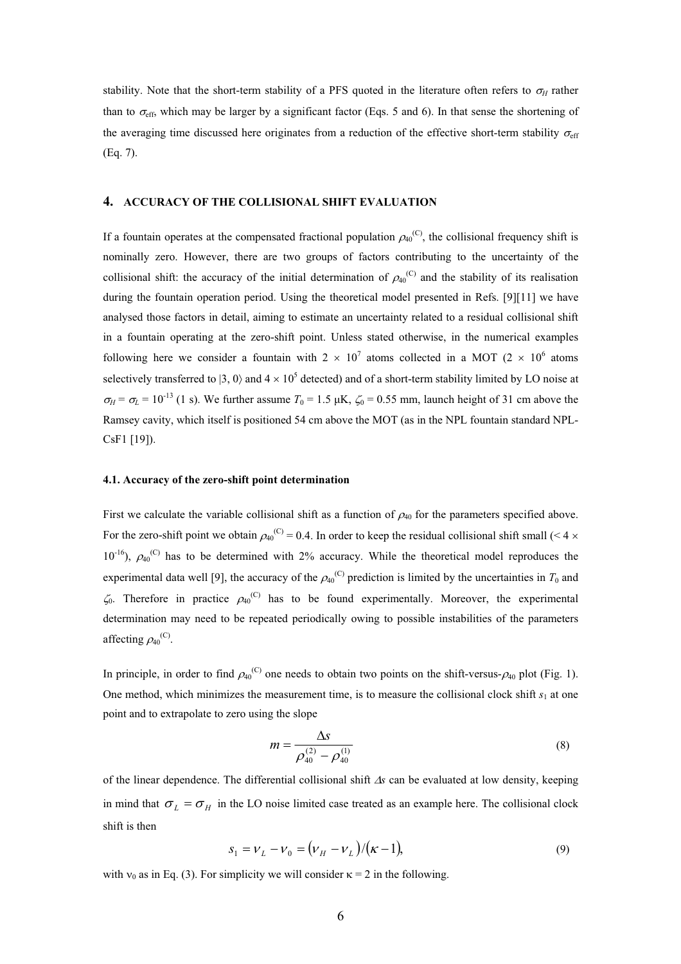stability. Note that the short-term stability of a PFS quoted in the literature often refers to  $\sigma_H$  rather than to  $\sigma_{\text{eff}}$ , which may be larger by a significant factor (Eqs. 5 and 6). In that sense the shortening of the averaging time discussed here originates from a reduction of the effective short-term stability  $\sigma_{\text{eff}}$ (Eq. 7).

## **4. ACCURACY OF THE COLLISIONAL SHIFT EVALUATION**

If a fountain operates at the compensated fractional population  $\rho_{40}^{(C)}$ , the collisional frequency shift is nominally zero. However, there are two groups of factors contributing to the uncertainty of the collisional shift: the accuracy of the initial determination of  $\rho_{40}^{(C)}$  and the stability of its realisation during the fountain operation period. Using the theoretical model presented in Refs. [9][11] we have analysed those factors in detail, aiming to estimate an uncertainty related to a residual collisional shift in a fountain operating at the zero-shift point. Unless stated otherwise, in the numerical examples following here we consider a fountain with  $2 \times 10^7$  atoms collected in a MOT (2  $\times$  10<sup>6</sup> atoms selectively transferred to  $|3, 0\rangle$  and  $4 \times 10^5$  detected) and of a short-term stability limited by LO noise at  $\sigma_H = \sigma_L = 10^{-13}$  (1 s). We further assume  $T_0 = 1.5 \mu K$ ,  $\zeta_0 = 0.55 \text{ mm}$ , launch height of 31 cm above the Ramsey cavity, which itself is positioned 54 cm above the MOT (as in the NPL fountain standard NPL-CsF1 [19]).

## **4.1. Accuracy of the zero-shift point determination**

First we calculate the variable collisional shift as a function of  $\rho_{40}$  for the parameters specified above. For the zero-shift point we obtain  $\rho_{40}^{(C)} = 0.4$ . In order to keep the residual collisional shift small (< 4  $\times$  $10^{-16}$ ),  $\rho_{40}^{(C)}$  has to be determined with 2% accuracy. While the theoretical model reproduces the experimental data well [9], the accuracy of the  $\rho_{40}^{(C)}$  prediction is limited by the uncertainties in  $T_0$  and  $\zeta_0$ . Therefore in practice  $\rho_{40}^{(C)}$  has to be found experimentally. Moreover, the experimental determination may need to be repeated periodically owing to possible instabilities of the parameters affecting  $\rho_{40}^{(C)}$ .

In principle, in order to find  $\rho_{40}^{(C)}$  one needs to obtain two points on the shift-versus- $\rho_{40}$  plot (Fig. 1). One method, which minimizes the measurement time, is to measure the collisional clock shift  $s_1$  at one point and to extrapolate to zero using the slope

$$
m = \frac{\Delta s}{\rho_{40}^{(2)} - \rho_{40}^{(1)}}\tag{8}
$$

of the linear dependence. The differential collisional shift  $\Delta s$  can be evaluated at low density, keeping in mind that  $\sigma_L = \sigma_H$  in the LO noise limited case treated as an example here. The collisional clock shift is then

$$
s_1 = v_L - v_0 = (v_H - v_L)/(\kappa - 1),
$$
\n(9)

with  $v_0$  as in Eq. (3). For simplicity we will consider  $\kappa = 2$  in the following.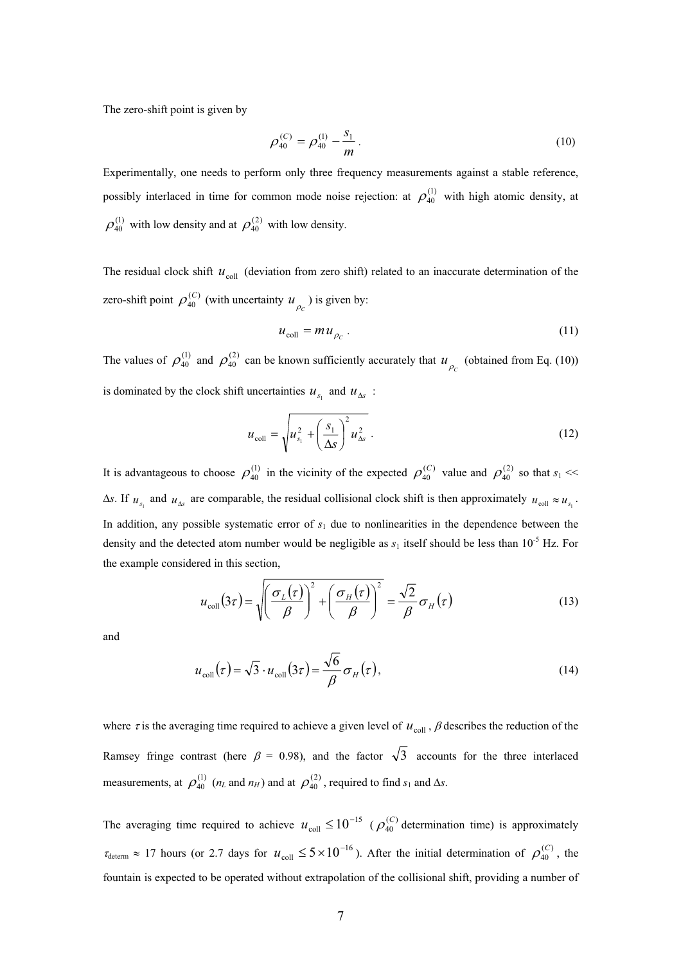The zero-shift point is given by

$$
\rho_{40}^{(C)} = \rho_{40}^{(1)} - \frac{s_1}{m} \,. \tag{10}
$$

Experimentally, one needs to perform only three frequency measurements against a stable reference, possibly interlaced in time for common mode noise rejection: at  $\rho_{40}^{(1)}$  with high atomic density, at  $\rho_{40}^{(1)}$  with low density and at  $\rho_{40}^{(2)}$  with low density.

The residual clock shift  $u_{\text{coll}}$  (deviation from zero shift) related to an inaccurate determination of the zero-shift point  $\rho_{40}^{(C)}$  (with uncertainty  $u_{\rho}$ ) is given by:  $\rho_{40}^{(C)}$  (with uncertainty  $u_{\rho_c}$ 

$$
u_{\text{coll}} = m u_{\rho_c} \,. \tag{11}
$$

The values of  $\rho_{40}^{(1)}$  and  $\rho_{40}^{(2)}$  can be known sufficiently accurately that  $u_{\rho_c}$  (obtained from Eq. (10)) is dominated by the clock shift uncertainties  $u_{s_1}$  and  $u_{\Delta s}$ :

$$
u_{\text{coll}} = \sqrt{u_{s_1}^2 + \left(\frac{s_1}{\Delta s}\right)^2 u_{\Delta s}^2} \tag{12}
$$

It is advantageous to choose  $\rho_{40}^{(1)}$  in the vicinity of the expected  $\rho_{40}^{(C)}$  value and  $\rho_{40}^{(2)}$  so that *s*  $\rho_{40}^{(C)}$  value and  $\rho_{40}^{(2)}$  so that  $s_1 \ll$  $\Delta s$ . If  $u_{s_1}$  and  $u_{\Delta s}$  are comparable, the residual collisional clock shift is then approximately  $u_{\text{coll}} \approx u_{s_1}$ . In addition, any possible systematic error of *s* 1 due to nonlinearities in the dependence between the density and the detected atom number would be negligible as  $s_1$  itself should be less than 10<sup>-5</sup> Hz. For the example considered in this section,

$$
u_{\text{coll}}(3\tau) = \sqrt{\left(\frac{\sigma_L(\tau)}{\beta}\right)^2 + \left(\frac{\sigma_H(\tau)}{\beta}\right)^2} = \frac{\sqrt{2}}{\beta}\sigma_H(\tau)
$$
(13)

and

$$
u_{\text{coll}}(\tau) = \sqrt{3} \cdot u_{\text{coll}}(3\tau) = \frac{\sqrt{6}}{\beta} \sigma_H(\tau), \qquad (14)
$$

where  $\tau$  is the averaging time required to achieve a given level of  $u_{\text{coll}}$ ,  $\beta$  describes the reduction of the Ramsey fringe contrast (here  $\beta$  = 0.98), and the factor  $\sqrt{3}$  accounts for the three interlaced measurements, at  $\rho_{40}^{(1)}$  ( $n_L$  and  $n_H$ ) and at  $\rho_{40}^{(2)}$ , required to find  $s_1$  and  $\Delta s$ .

The averaging time required to achieve  $u_{\text{coll}} \leq 10^{-15}$  ( $\rho_{40}^{(C)}$  determination time) is approximately  $\tau_{\text{determin}} \approx 17$  hours (or 2.7 days for  $u_{\text{coll}} \leq 5 \times 10^{-16}$ ). After the initial determination of  $\rho_{40}^{(C)}$ , the  $\rho_{\scriptscriptstyle 40}^{\scriptscriptstyle (C)}$ fountain is expected to be operated without extrapolation of the collisional shift, providing a number of  $\rho_{\scriptscriptstyle 40}^{\scriptscriptstyle (C)}$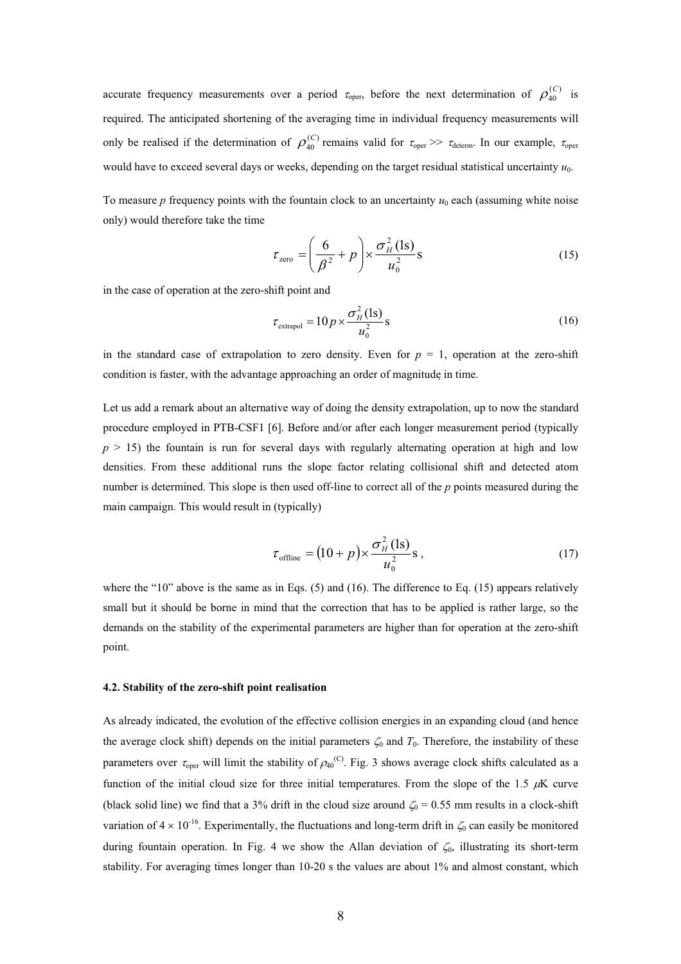accurate frequency measurements over a period  $\tau_{\text{oper}}$ , before the next determination of  $\rho_{40}^{(C)}$  is required. The anticipated shortening of the averaging time in individual frequency measurements will only be realised if the determination of  $\rho_{40}^{(C)}$  remains valid for  $\tau_c$  $\rho_{\scriptscriptstyle 40}^{\scriptscriptstyle (C}$  $\rho_{40}^{(C)}$  remains valid for  $\tau_{\text{oper}} \gg \tau_{\text{determin}}$ . In our example,  $\tau_{\text{oper}}$ would have to exceed several days or weeks, depending on the target residual statistical uncertainty  $u_0$ .

To measure *p* frequency points with the fountain clock to an uncertainty  $u_0$  each (assuming white noise only) would therefore take the time

$$
\tau_{\text{zero}} = \left(\frac{6}{\beta^2} + p\right) \times \frac{\sigma_H^2(\text{ls})}{u_0^2} \text{s}
$$
\n(15)

in the case of operation at the zero-shift point and

$$
\tau_{\text{extrapol}} = 10p \times \frac{\sigma_H^2(\text{ls})}{u_0^2} \text{s}
$$
\n(16)

in the standard case of extrapolation to zero density. Even for  $p = 1$ , operation at the zero-shift condition is faster, with the advantage approaching an order of magnitude in time.

Let us add a remark about an alternative way of doing the density extrapolation, up to now the standard procedure employed in PTB-CSF1 [6]. Before and/or after each longer measurement period (typically  $p > 15$ ) the fountain is run for several days with regularly alternating operation at high and low densities. From these additional runs the slope factor relating collisional shift and detected atom number is determined. This slope is then used off-line to correct all of the *p* points measured during the main campaign. This would result in (typically)

$$
\tau_{\text{offline}} = (10 + p) \times \frac{\sigma_H^2 \text{ (ls)}}{u_0^2} \text{ s},\tag{17}
$$

where the "10" above is the same as in Eqs. (5) and (16). The difference to Eq. (15) appears relatively small but it should be borne in mind that the correction that has to be applied is rather large, so the demands on the stability of the experimental parameters are higher than for operation at the zero-shift point.

#### **4.2. Stability of the zero-shift point realisation**

As already indicated, the evolution of the effective collision energies in an expanding cloud (and hence the average clock shift) depends on the initial parameters  $\zeta_0$  and  $T_0$ . Therefore, the instability of these parameters over  $\tau_{\text{oper}}$  will limit the stability of  $\rho_{40}^{(C)}$ . Fig. 3 shows average clock shifts calculated as a function of the initial cloud size for three initial temperatures. From the slope of the 1.5  $\mu$ K curve (black solid line) we find that a 3% drift in the cloud size around  $\zeta_0 = 0.55$  mm results in a clock-shift variation of  $4 \times 10^{-16}$ . Experimentally, the fluctuations and long-term drift in  $\zeta_0$  can easily be monitored during fountain operation. In Fig. 4 we show the Allan deviation of  $\zeta_0$ , illustrating its short-term stability. For averaging times longer than 10-20 s the values are about 1% and almost constant, which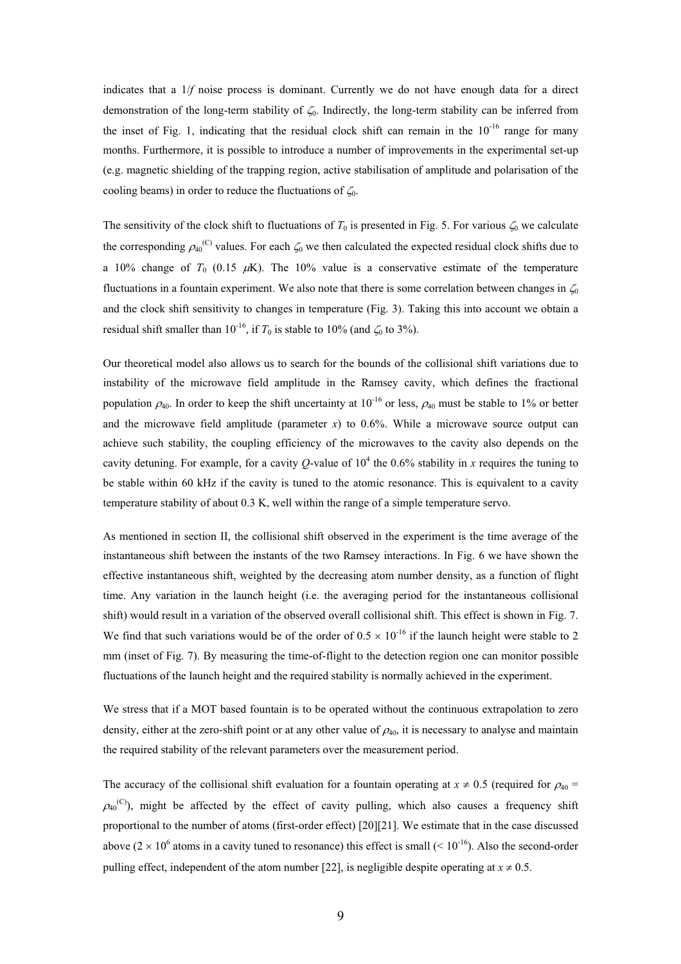indicates that a 1/*f* noise process is dominant. Currently we do not have enough data for a direct demonstration of the long-term stability of  $\zeta_0$ . Indirectly, the long-term stability can be inferred from the inset of Fig. 1, indicating that the residual clock shift can remain in the  $10^{-16}$  range for many months. Furthermore, it is possible to introduce a number of improvements in the experimental set-up (e.g. magnetic shielding of the trapping region, active stabilisation of amplitude and polarisation of the cooling beams) in order to reduce the fluctuations of  $\zeta_0$ .

The sensitivity of the clock shift to fluctuations of  $T_0$  is presented in Fig. 5. For various  $\zeta_0$  we calculate the corresponding  $\rho_{40}^{(C)}$  values. For each  $\zeta_0$  we then calculated the expected residual clock shifts due to a 10% change of  $T_0$  (0.15  $\mu$ K). The 10% value is a conservative estimate of the temperature fluctuations in a fountain experiment. We also note that there is some correlation between changes in  $\zeta_0$ and the clock shift sensitivity to changes in temperature (Fig. 3). Taking this into account we obtain a residual shift smaller than  $10^{-16}$ , if  $T_0$  is stable to 10% (and  $\zeta_0$  to 3%).

Our theoretical model also allows us to search for the bounds of the collisional shift variations due to instability of the microwave field amplitude in the Ramsey cavity, which defines the fractional population  $\rho_{40}$ . In order to keep the shift uncertainty at 10<sup>-16</sup> or less,  $\rho_{40}$  must be stable to 1% or better and the microwave field amplitude (parameter  $x$ ) to 0.6%. While a microwave source output can achieve such stability, the coupling efficiency of the microwaves to the cavity also depends on the cavity detuning. For example, for a cavity  $Q$ -value of  $10^4$  the 0.6% stability in *x* requires the tuning to be stable within 60 kHz if the cavity is tuned to the atomic resonance. This is equivalent to a cavity temperature stability of about 0.3 K, well within the range of a simple temperature servo.

As mentioned in section II, the collisional shift observed in the experiment is the time average of the instantaneous shift between the instants of the two Ramsey interactions. In Fig. 6 we have shown the effective instantaneous shift, weighted by the decreasing atom number density, as a function of flight time. Any variation in the launch height (i.e. the averaging period for the instantaneous collisional shift) would result in a variation of the observed overall collisional shift. This effect is shown in Fig. 7. We find that such variations would be of the order of  $0.5 \times 10^{-16}$  if the launch height were stable to 2 mm (inset of Fig. 7). By measuring the time-of-flight to the detection region one can monitor possible fluctuations of the launch height and the required stability is normally achieved in the experiment.

We stress that if a MOT based fountain is to be operated without the continuous extrapolation to zero density, either at the zero-shift point or at any other value of  $\rho_{40}$ , it is necessary to analyse and maintain the required stability of the relevant parameters over the measurement period.

The accuracy of the collisional shift evaluation for a fountain operating at  $x \neq 0.5$  (required for  $\rho_{40}$  =  $\rho_{40}^{(C)}$ ), might be affected by the effect of cavity pulling, which also causes a frequency shift proportional to the number of atoms (first-order effect) [20][21]. We estimate that in the case discussed above ( $2 \times 10^6$  atoms in a cavity tuned to resonance) this effect is small ( $\le 10^{-16}$ ). Also the second-order pulling effect, independent of the atom number [22], is negligible despite operating at  $x \neq 0.5$ .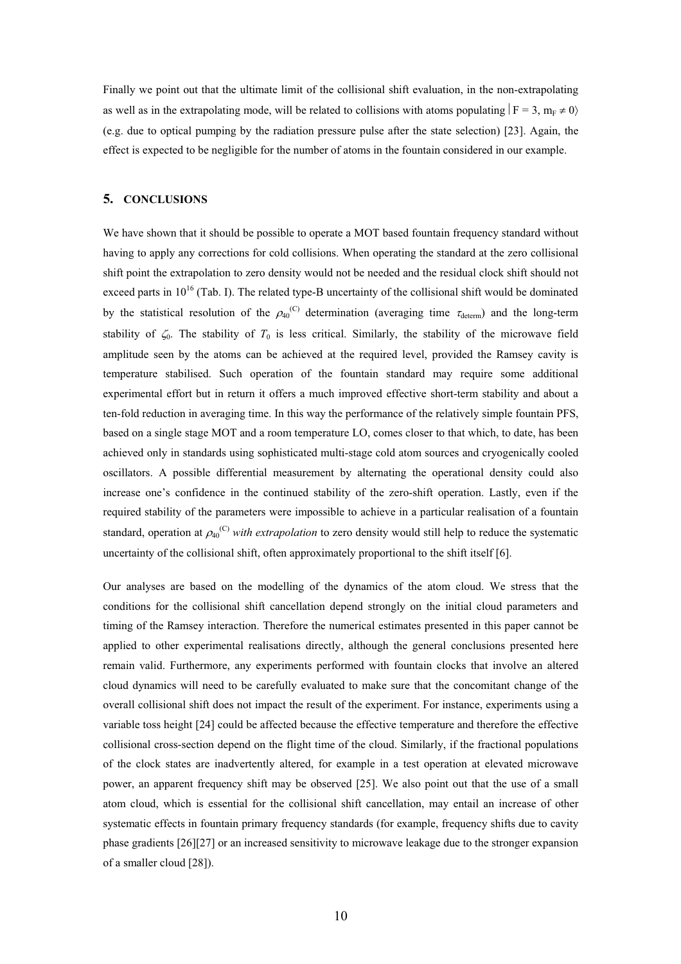Finally we point out that the ultimate limit of the collisional shift evaluation, in the non-extrapolating as well as in the extrapolating mode, will be related to collisions with atoms populating  $|F = 3, m_F \neq 0\rangle$ (e.g. due to optical pumping by the radiation pressure pulse after the state selection) [23]. Again, the effect is expected to be negligible for the number of atoms in the fountain considered in our example.

# **5. CONCLUSIONS**

We have shown that it should be possible to operate a MOT based fountain frequency standard without having to apply any corrections for cold collisions. When operating the standard at the zero collisional shift point the extrapolation to zero density would not be needed and the residual clock shift should not exceed parts in  $10^{16}$  (Tab. I). The related type-B uncertainty of the collisional shift would be dominated by the statistical resolution of the  $\rho_{40}^{(C)}$  determination (averaging time  $\tau_{\text{determin}}$ ) and the long-term stability of  $\zeta_0$ . The stability of  $T_0$  is less critical. Similarly, the stability of the microwave field amplitude seen by the atoms can be achieved at the required level, provided the Ramsey cavity is temperature stabilised. Such operation of the fountain standard may require some additional experimental effort but in return it offers a much improved effective short-term stability and about a ten-fold reduction in averaging time. In this way the performance of the relatively simple fountain PFS, based on a single stage MOT and a room temperature LO, comes closer to that which, to date, has been achieved only in standards using sophisticated multi-stage cold atom sources and cryogenically cooled oscillators. A possible differential measurement by alternating the operational density could also increase one's confidence in the continued stability of the zero-shift operation. Lastly, even if the required stability of the parameters were impossible to achieve in a particular realisation of a fountain standard, operation at  $\rho_{40}^{(C)}$  *with extrapolation* to zero density would still help to reduce the systematic uncertainty of the collisional shift, often approximately proportional to the shift itself [6].

Our analyses are based on the modelling of the dynamics of the atom cloud. We stress that the conditions for the collisional shift cancellation depend strongly on the initial cloud parameters and timing of the Ramsey interaction. Therefore the numerical estimates presented in this paper cannot be applied to other experimental realisations directly, although the general conclusions presented here remain valid. Furthermore, any experiments performed with fountain clocks that involve an altered cloud dynamics will need to be carefully evaluated to make sure that the concomitant change of the overall collisional shift does not impact the result of the experiment. For instance, experiments using a variable toss height [24] could be affected because the effective temperature and therefore the effective collisional cross-section depend on the flight time of the cloud. Similarly, if the fractional populations of the clock states are inadvertently altered, for example in a test operation at elevated microwave power, an apparent frequency shift may be observed [25]. We also point out that the use of a small atom cloud, which is essential for the collisional shift cancellation, may entail an increase of other systematic effects in fountain primary frequency standards (for example, frequency shifts due to cavity phase gradients [26][27] or an increased sensitivity to microwave leakage due to the stronger expansion of a smaller cloud [28]).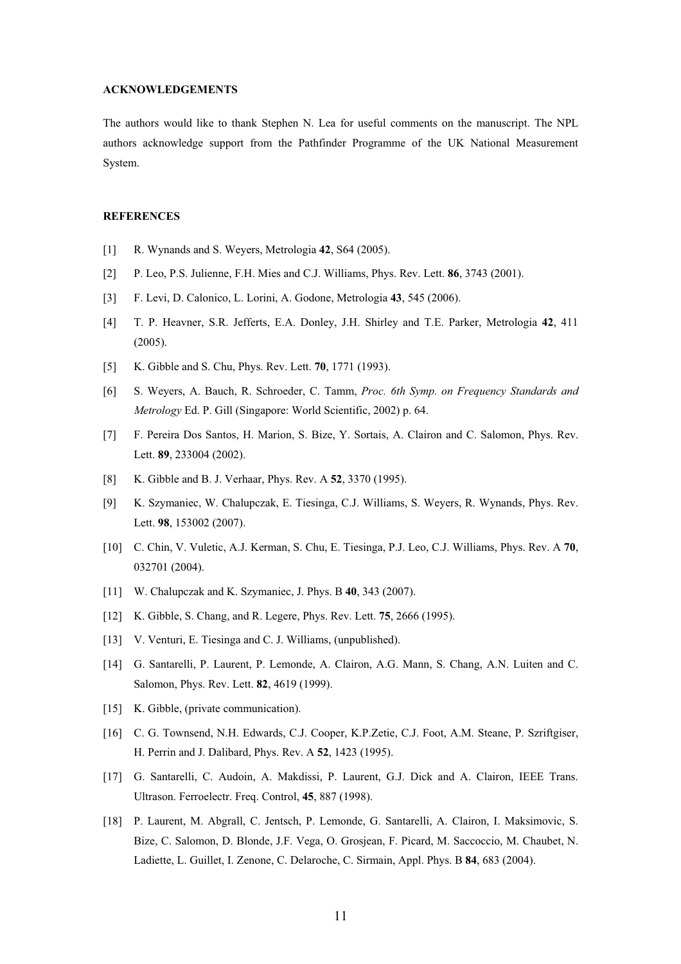## **ACKNOWLEDGEMENTS**

The authors would like to thank Stephen N. Lea for useful comments on the manuscript. The NPL authors acknowledge support from the Pathfinder Programme of the UK National Measurement System.

### **REFERENCES**

- [1] R. Wynands and S. Weyers, Metrologia **42**, S64 (2005).
- [2] P. Leo, P.S. Julienne, F.H. Mies and C.J. Williams, Phys. Rev. Lett. **86**, 3743 (2001).
- [3] F. Levi, D. Calonico, L. Lorini, A. Godone, Metrologia **43**, 545 (2006).
- [4] T. P. Heavner, S.R. Jefferts, E.A. Donley, J.H. Shirley and T.E. Parker, Metrologia **42**, 411 (2005).
- [5] K. Gibble and S. Chu, Phys. Rev. Lett. **70**, 1771 (1993).
- [6] S. Weyers, A. Bauch, R. Schroeder, C. Tamm, *Proc. 6th Symp. on Frequency Standards and Metrology* Ed. P. Gill (Singapore: World Scientific, 2002) p. 64.
- [7] F. Pereira Dos Santos, H. Marion, S. Bize, Y. Sortais, A. Clairon and C. Salomon, Phys. Rev. Lett. **89**, 233004 (2002).
- [8] K. Gibble and B. J. Verhaar, Phys. Rev. A **52**, 3370 (1995).
- [9] K. Szymaniec, W. Chalupczak, E. Tiesinga, C.J. Williams, S. Weyers, R. Wynands, Phys. Rev. Lett. **98**, 153002 (2007).
- [10] C. Chin, V. Vuletic, A.J. Kerman, S. Chu, E. Tiesinga, P.J. Leo, C.J. Williams, Phys. Rev. A **70**, 032701 (2004).
- [11] W. Chalupczak and K. Szymaniec, J. Phys. B **40**, 343 (2007).
- [12] K. Gibble, S. Chang, and R. Legere, Phys. Rev. Lett. **75**, 2666 (1995).
- [13] V. Venturi, E. Tiesinga and C. J. Williams, (unpublished).
- [14] G. Santarelli, P. Laurent, P. Lemonde, A. Clairon, A.G. Mann, S. Chang, A.N. Luiten and C. Salomon, Phys. Rev. Lett. **82**, 4619 (1999).
- [15] K. Gibble, (private communication).
- [16] C. G. Townsend, N.H. Edwards, C.J. Cooper, K.P.Zetie, C.J. Foot, A.M. Steane, P. Szriftgiser, H. Perrin and J. Dalibard, Phys. Rev. A **52**, 1423 (1995).
- [17] G. Santarelli, C. Audoin, A. Makdissi, P. Laurent, G.J. Dick and A. Clairon, IEEE Trans. Ultrason. Ferroelectr. Freq. Control, **45**, 887 (1998).
- [18] P. Laurent, M. Abgrall, C. Jentsch, P. Lemonde, G. Santarelli, A. Clairon, I. Maksimovic, S. Bize, C. Salomon, D. Blonde, J.F. Vega, O. Grosjean, F. Picard, M. Saccoccio, M. Chaubet, N. Ladiette, L. Guillet, I. Zenone, C. Delaroche, C. Sirmain, Appl. Phys. B **84**, 683 (2004).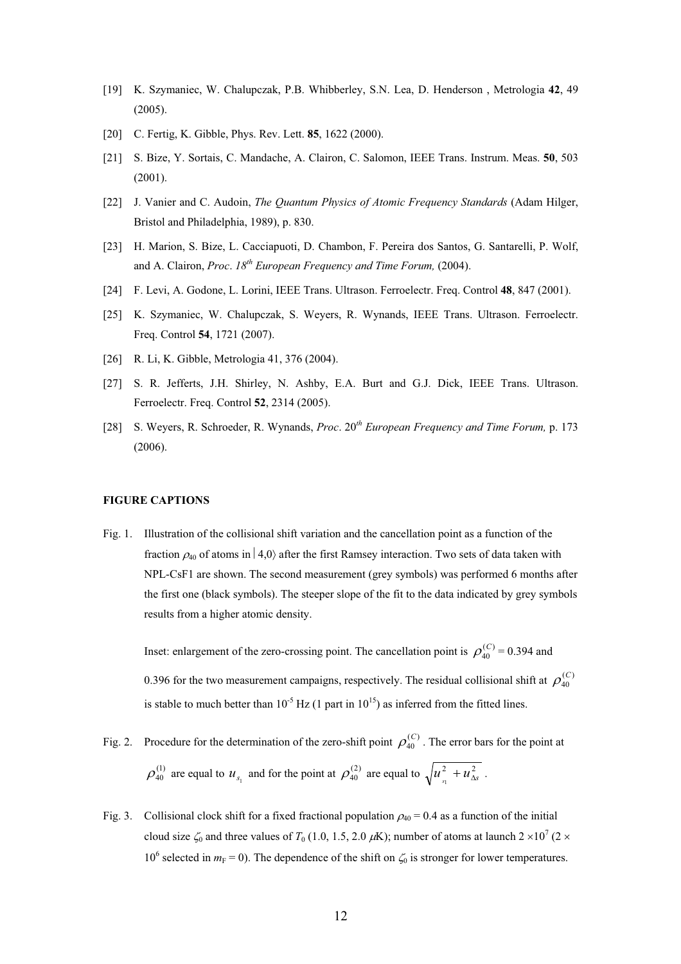- [19] K. Szymaniec, W. Chalupczak, P.B. Whibberley, S.N. Lea, D. Henderson, Metrologia 42, 49 (2005).
- [20] C. Fertig, K. Gibble, Phys. Rev. Lett. **85**, 1622 (2000).
- [21] S. Bize, Y. Sortais, C. Mandache, A. Clairon, C. Salomon, IEEE Trans. Instrum. Meas. **50**, 503 (2001).
- [22] J. Vanier and C. Audoin, *The Quantum Physics of Atomic Frequency Standards* (Adam Hilger, Bristol and Philadelphia, 1989), p. 830.
- [23] H. Marion, S. Bize, L. Cacciapuoti, D. Chambon, F. Pereira dos Santos, G. Santarelli, P. Wolf, and A. Clairon, *Proc*. *18th European Frequency and Time Forum,* (2004).
- [24] F. Levi, A. Godone, L. Lorini, IEEE Trans. Ultrason. Ferroelectr. Freq. Control **48**, 847 (2001).
- [25] K. Szymaniec, W. Chalupczak, S. Weyers, R. Wynands, IEEE Trans. Ultrason. Ferroelectr. Freq. Control **54**, 1721 (2007).
- [26] R. Li, K. Gibble, Metrologia 41, 376 (2004).
- [27] S. R. Jefferts, J.H. Shirley, N. Ashby, E.A. Burt and G.J. Dick, IEEE Trans. Ultrason. Ferroelectr. Freq. Control **52**, 2314 (2005).
- [28] S. Weyers, R. Schroeder, R. Wynands, *Proc*. 20*th European Frequency and Time Forum,* p. 173 (2006).

## **FIGURE CAPTIONS**

Fig. 1. Illustration of the collisional shift variation and the cancellation point as a function of the fraction  $\rho_{40}$  of atoms in  $|4,0\rangle$  after the first Ramsey interaction. Two sets of data taken with NPL-CsF1 are shown. The second measurement (grey symbols) was performed 6 months after the first one (black symbols). The steeper slope of the fit to the data indicated by grey symbols results from a higher atomic density.

Inset: enlargement of the zero-crossing point. The cancellation point is  $\rho_{40}^{(C)} = 0.394$  and 0.396 for the two measurement campaigns, respectively. The residual collisional shift at  $\rho_{40}^{(C)}$ is stable to much better than  $10^{-5}$  Hz (1 part in  $10^{15}$ ) as inferred from the fitted lines.  $\rho_{\scriptscriptstyle 40}^{\scriptscriptstyle (C)}$  $\rho_{\scriptscriptstyle 40}^{\scriptscriptstyle (C}$ 

- Fig. 2. Procedure for the determination of the zero-shift point  $\rho_{40}^{(C)}$ . The error bars for the point at  $\rho_{40}^{(1)}$  are equal to  $u_{s_1}$  and for the point at  $\rho_{40}^{(2)}$  are equal to  $\sqrt{u_{s_1}^2 + u_{\Delta s}^2}$ .  $\rho_{\scriptscriptstyle 40}^{\scriptscriptstyle (C}$
- Fig. 3. Collisional clock shift for a fixed fractional population  $\rho_{40} = 0.4$  as a function of the initial cloud size  $\zeta_0$  and three values of *T*<sub>0</sub> (1.0, 1.5, 2.0  $\mu$ K); number of atoms at launch 2 ×10<sup>7</sup> (2 × 10<sup>6</sup> selected in  $m_F = 0$ ). The dependence of the shift on  $\zeta_0$  is stronger for lower temperatures.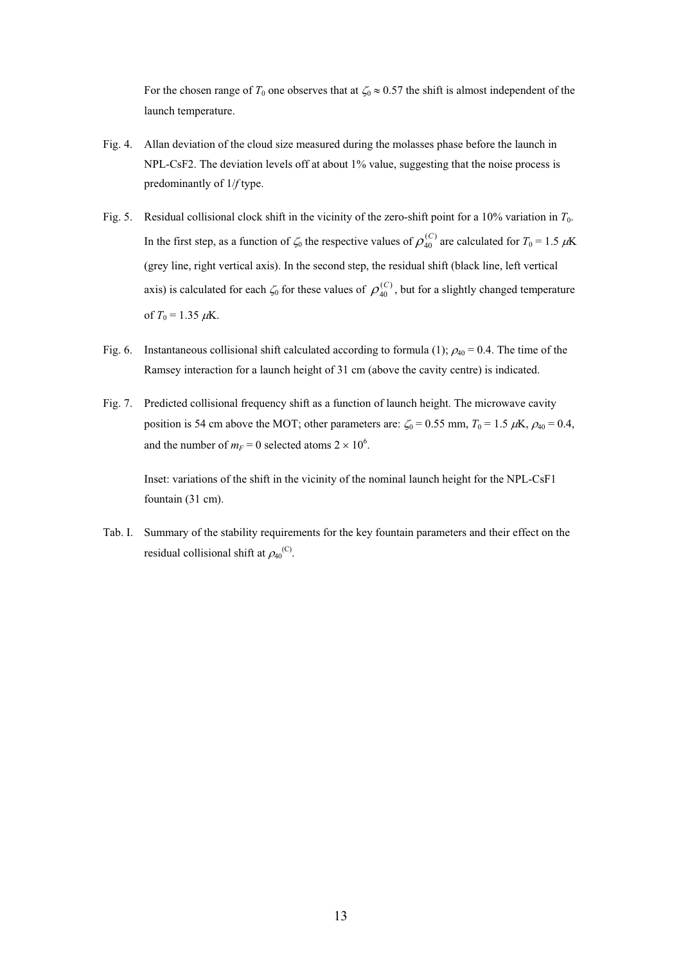For the chosen range of  $T_0$  one observes that at  $\zeta_0 \approx 0.57$  the shift is almost independent of the launch temperature.

- Fig. 4. Allan deviation of the cloud size measured during the molasses phase before the launch in NPL-CsF2. The deviation levels off at about 1% value, suggesting that the noise process is predominantly of 1/*f* type.
- Fig. 5. Residual collisional clock shift in the vicinity of the zero-shift point for a 10% variation in *T*0. In the first step, as a function of  $\zeta_0$  the respective values of  $\rho_{40}^{(C)}$  are calculated for  $T_0 = 1.5 \mu K$ (grey line, right vertical axis). In the second step, the residual shift (black line, left vertical axis) is calculated for each  $\zeta_0$  for these values of  $\rho_{40}^{(C)}$ , but for a slightly changed temperature of  $T_0 = 1.35 \mu K$ .  $\rho_{\scriptscriptstyle 40}^{\scriptscriptstyle (C}$
- Fig. 6. Instantaneous collisional shift calculated according to formula (1);  $\rho_{40} = 0.4$ . The time of the Ramsey interaction for a launch height of 31 cm (above the cavity centre) is indicated.
- Fig. 7. Predicted collisional frequency shift as a function of launch height. The microwave cavity position is 54 cm above the MOT; other parameters are:  $\zeta_0 = 0.55$  mm,  $T_0 = 1.5 \mu K$ ,  $\rho_{40} = 0.4$ , and the number of  $m_F = 0$  selected atoms  $2 \times 10^6$ .

Inset: variations of the shift in the vicinity of the nominal launch height for the NPL-CsF1 fountain (31 cm).

Tab. I. Summary of the stability requirements for the key fountain parameters and their effect on the residual collisional shift at  $\rho_{40}^{(C)}$ .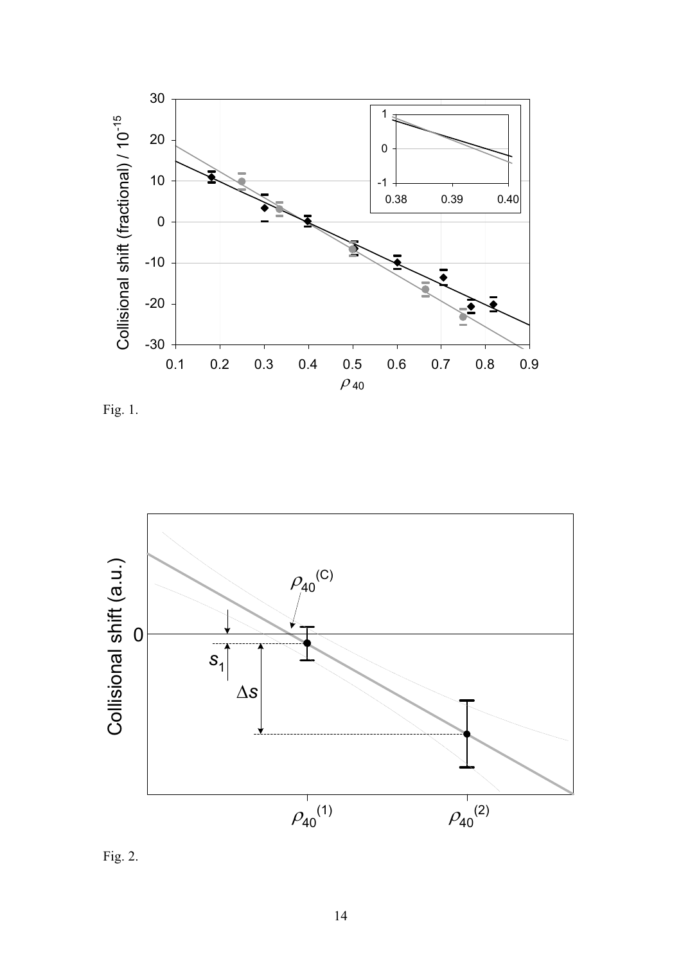

Fig. 1.



Fig. 2.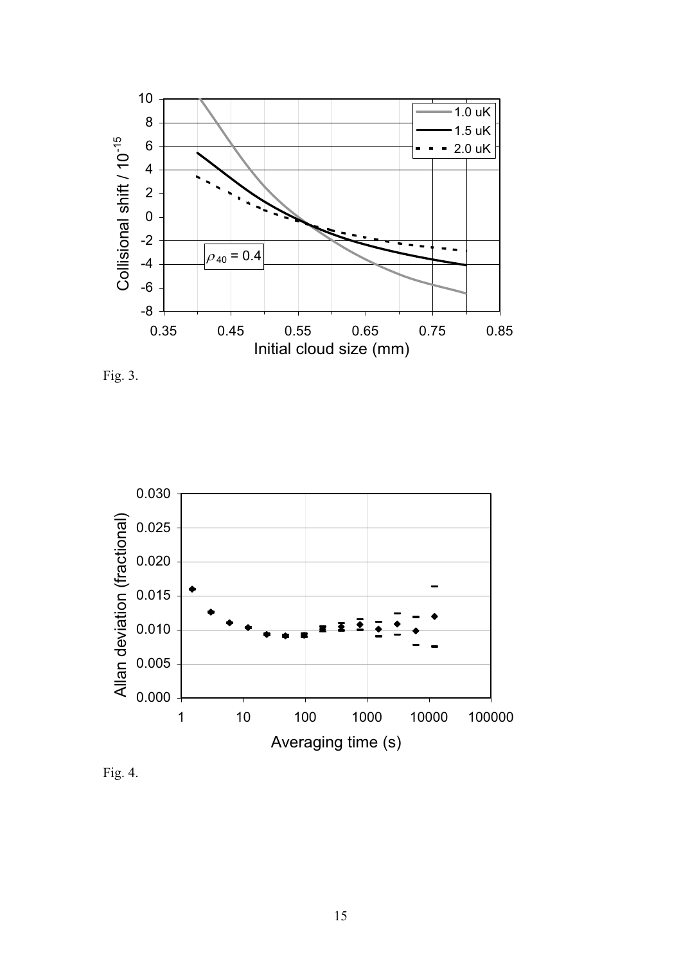





Fig. 4.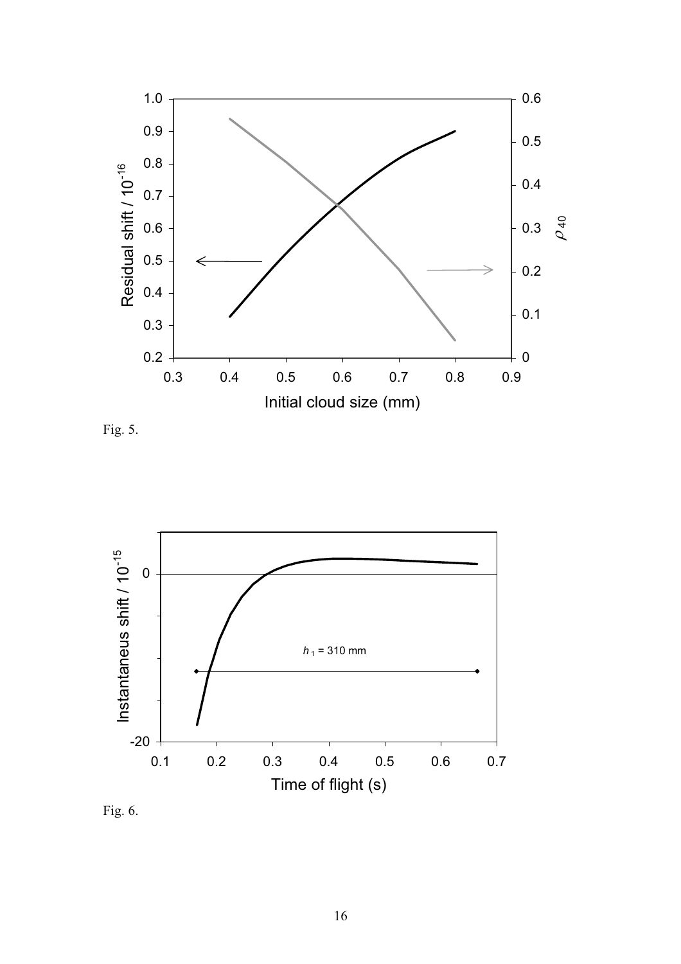

Fig. 5.



Fig. 6.